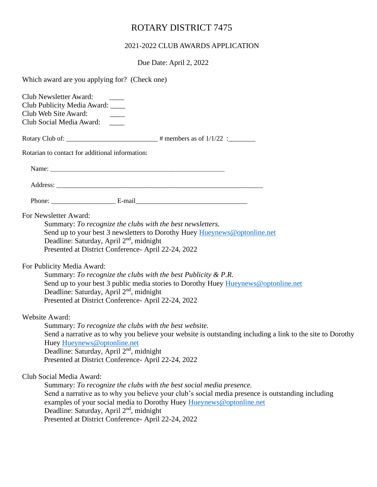## ROTARY DISTRICT 7475

## 2021-2022 CLUB AWARDS APPLICATION

Due Date: April 2, 2022

| Which award are you applying for? (Check one)                                                                                                                                                                                                                                                                                                                                                                                                                                                                                                                                        |
|--------------------------------------------------------------------------------------------------------------------------------------------------------------------------------------------------------------------------------------------------------------------------------------------------------------------------------------------------------------------------------------------------------------------------------------------------------------------------------------------------------------------------------------------------------------------------------------|
| Club Newsletter Award:<br>Club Publicity Media Award: ____<br>Club Web Site Award:<br>Club Social Media Award:                                                                                                                                                                                                                                                                                                                                                                                                                                                                       |
|                                                                                                                                                                                                                                                                                                                                                                                                                                                                                                                                                                                      |
| Rotarian to contact for additional information:                                                                                                                                                                                                                                                                                                                                                                                                                                                                                                                                      |
|                                                                                                                                                                                                                                                                                                                                                                                                                                                                                                                                                                                      |
|                                                                                                                                                                                                                                                                                                                                                                                                                                                                                                                                                                                      |
|                                                                                                                                                                                                                                                                                                                                                                                                                                                                                                                                                                                      |
| For Newsletter Award:<br>Summary: To recognize the clubs with the best newsletters.<br>Send up to your best 3 newsletters to Dorothy Huey Hueynews@optonline.net<br>Deadline: Saturday, April 2 <sup>nd</sup> , midnight<br>Presented at District Conference- April 22-24, 2022<br>For Publicity Media Award:<br>Summary: To recognize the clubs with the best Publicity & P.R.<br>Send up to your best 3 public media stories to Dorothy Huey Hueynews@optonline.net<br>Deadline: Saturday, April 2 <sup>nd</sup> , midnight<br>Presented at District Conference- April 22-24, 2022 |
| <b>Website Award:</b><br>Summary: To recognize the clubs with the best website.<br>Send a narrative as to why you believe your website is outstanding including a link to the site to Dorothy<br>Huey Hueynews@optonline.net<br>Deadline: Saturday, April 2 <sup>nd</sup> , midnight<br>Presented at District Conference- April 22-24, 2022                                                                                                                                                                                                                                          |
| Club Social Media Award:<br>Summary: To recognize the clubs with the best social media presence.<br>Send a narrative as to why you believe your club's social media presence is outstanding including<br>examples of your social media to Dorothy Huey Hueynews@optonline.net<br>Deadline: Saturday, April 2 <sup>nd</sup> , midnight<br>Presented at District Conference- April 22-24, 2022                                                                                                                                                                                         |